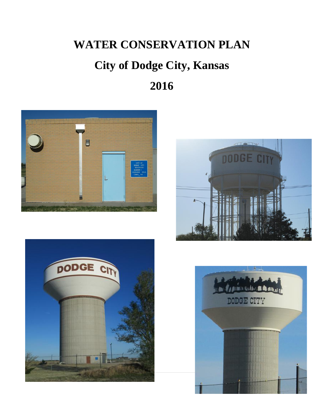# **WATER CONSERVATION PLAN**

# **City of Dodge City, Kansas**

**2016**







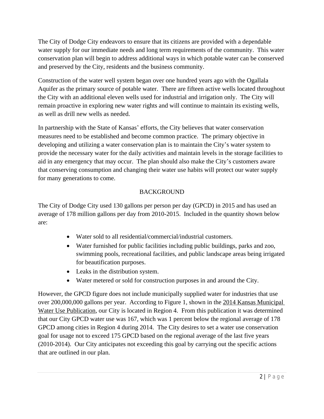The City of Dodge City endeavors to ensure that its citizens are provided with a dependable water supply for our immediate needs and long term requirements of the community. This water conservation plan will begin to address additional ways in which potable water can be conserved and preserved by the City, residents and the business community.

Construction of the water well system began over one hundred years ago with the Ogallala Aquifer as the primary source of potable water. There are fifteen active wells located throughout the City with an additional eleven wells used for industrial and irrigation only. The City will remain proactive in exploring new water rights and will continue to maintain its existing wells, as well as drill new wells as needed.

In partnership with the State of Kansas' efforts, the City believes that water conservation measures need to be established and become common practice. The primary objective in developing and utilizing a water conservation plan is to maintain the City's water system to provide the necessary water for the daily activities and maintain levels in the storage facilities to aid in any emergency that may occur. The plan should also make the City's customers aware that conserving consumption and changing their water use habits will protect our water supply for many generations to come.

# BACKGROUND

The City of Dodge City used 130 gallons per person per day (GPCD) in 2015 and has used an average of 178 million gallons per day from 2010-2015. Included in the quantity shown below are:

- Water sold to all residential/commercial/industrial customers.
- Water furnished for public facilities including public buildings, parks and zoo, swimming pools, recreational facilities, and public landscape areas being irrigated for beautification purposes.
- Leaks in the distribution system.
- Water metered or sold for construction purposes in and around the City.

However, the GPCD figure does not include municipally supplied water for industries that use over 200,000,000 gallons per year. According to Figure 1, shown in the 2014 Kansas Municipal Water Use Publication, our City is located in Region 4. From this publication it was determined that our City GPCD water use was 167, which was 1 percent below the regional average of 178 GPCD among cities in Region 4 during 2014. The City desires to set a water use conservation goal for usage not to exceed 175 GPCD based on the regional average of the last five years (2010-2014). Our City anticipates not exceeding this goal by carrying out the specific actions that are outlined in our plan.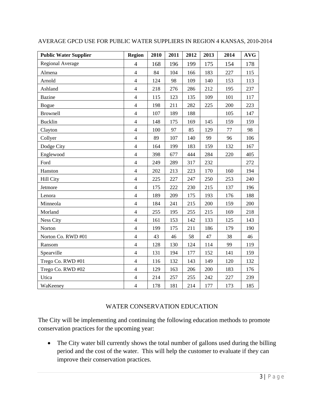| <b>Public Water Supplier</b> | <b>Region</b>  | 2010 | 2011 | 2012 | 2013 | 2014 | <b>AVG</b> |
|------------------------------|----------------|------|------|------|------|------|------------|
| <b>Regional Average</b>      | $\overline{4}$ | 168  | 196  | 199  | 175  | 154  | 178        |
| Almena                       | $\overline{4}$ | 84   | 104  | 166  | 183  | 227  | 115        |
| Arnold                       | $\overline{4}$ | 124  | 98   | 109  | 140  | 153  | 113        |
| Ashland                      | $\overline{4}$ | 218  | 276  | 286  | 212  | 195  | 237        |
| <b>Bazine</b>                | $\overline{4}$ | 115  | 123  | 135  | 109  | 101  | 117        |
| Bogue                        | $\overline{4}$ | 198  | 211  | 282  | 225  | 200  | 223        |
| <b>Brownell</b>              | $\overline{4}$ | 107  | 189  | 188  |      | 105  | 147        |
| <b>Bucklin</b>               | $\overline{4}$ | 148  | 175  | 169  | 145  | 159  | 159        |
| Clayton                      | $\overline{4}$ | 100  | 97   | 85   | 129  | 77   | 98         |
| Collyer                      | $\overline{4}$ | 89   | 107  | 140  | 99   | 96   | 106        |
| Dodge City                   | $\overline{4}$ | 164  | 199  | 183  | 159  | 132  | 167        |
| Englewood                    | $\overline{4}$ | 398  | 677  | 444  | 284  | 220  | 405        |
| Ford                         | $\overline{4}$ | 249  | 289  | 317  | 232  |      | 272        |
| Hanston                      | $\overline{4}$ | 202  | 213  | 223  | 170  | 160  | 194        |
| <b>Hill City</b>             | $\overline{4}$ | 225  | 227  | 247  | 250  | 253  | 240        |
| Jetmore                      | $\overline{4}$ | 175  | 222  | 230  | 215  | 137  | 196        |
| Lenora                       | $\overline{4}$ | 189  | 209  | 175  | 193  | 176  | 188        |
| Minneola                     | $\overline{4}$ | 184  | 241  | 215  | 200  | 159  | 200        |
| Morland                      | $\overline{4}$ | 255  | 195  | 255  | 215  | 169  | 218        |
| Ness City                    | $\overline{4}$ | 161  | 153  | 142  | 133  | 125  | 143        |
| Norton                       | $\overline{4}$ | 199  | 175  | 211  | 186  | 179  | 190        |
| Norton Co. RWD #01           | $\overline{4}$ | 43   | 46   | 58   | 47   | 38   | 46         |
| Ransom                       | $\overline{4}$ | 128  | 130  | 124  | 114  | 99   | 119        |
| Spearville                   | $\overline{4}$ | 131  | 194  | 177  | 152  | 141  | 159        |
| Trego Co. RWD #01            | $\overline{4}$ | 116  | 132  | 143  | 149  | 120  | 132        |
| Trego Co. RWD #02            | $\overline{4}$ | 129  | 163  | 206  | 200  | 183  | 176        |
| Utica                        | $\overline{4}$ | 214  | 257  | 255  | 242  | 227  | 239        |
| WaKeeney                     | $\overline{4}$ | 178  | 181  | 214  | 177  | 173  | 185        |

#### AVERAGE GPCD USE FOR PUBLIC WATER SUPPLIERS IN REGION 4 KANSAS, 2010-2014

#### WATER CONSERVATION EDUCATION

The City will be implementing and continuing the following education methods to promote conservation practices for the upcoming year:

• The City water bill currently shows the total number of gallons used during the billing period and the cost of the water. This will help the customer to evaluate if they can improve their conservation practices.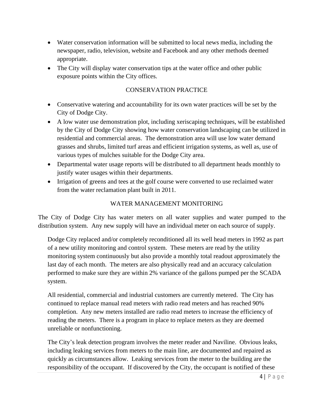- Water conservation information will be submitted to local news media, including the newspaper, radio, television, website and Facebook and any other methods deemed appropriate.
- The City will display water conservation tips at the water office and other public exposure points within the City offices.

# CONSERVATION PRACTICE

- Conservative watering and accountability for its own water practices will be set by the City of Dodge City.
- A low water use demonstration plot, including xeriscaping techniques, will be established by the City of Dodge City showing how water conservation landscaping can be utilized in residential and commercial areas. The demonstration area will use low water demand grasses and shrubs, limited turf areas and efficient irrigation systems, as well as, use of various types of mulches suitable for the Dodge City area.
- Departmental water usage reports will be distributed to all department heads monthly to justify water usages within their departments.
- Irrigation of greens and tees at the golf course were converted to use reclaimed water from the water reclamation plant built in 2011.

# WATER MANAGEMENT MONITORING

The City of Dodge City has water meters on all water supplies and water pumped to the distribution system. Any new supply will have an individual meter on each source of supply.

Dodge City replaced and/or completely reconditioned all its well head meters in 1992 as part of a new utility monitoring and control system. These meters are read by the utility monitoring system continuously but also provide a monthly total readout approximately the last day of each month. The meters are also physically read and an accuracy calculation performed to make sure they are within 2% variance of the gallons pumped per the SCADA system.

All residential, commercial and industrial customers are currently metered. The City has continued to replace manual read meters with radio read meters and has reached 90% completion. Any new meters installed are radio read meters to increase the efficiency of reading the meters. There is a program in place to replace meters as they are deemed unreliable or nonfunctioning.

The City's leak detection program involves the meter reader and Naviline. Obvious leaks, including leaking services from meters to the main line, are documented and repaired as quickly as circumstances allow. Leaking services from the meter to the building are the responsibility of the occupant. If discovered by the City, the occupant is notified of these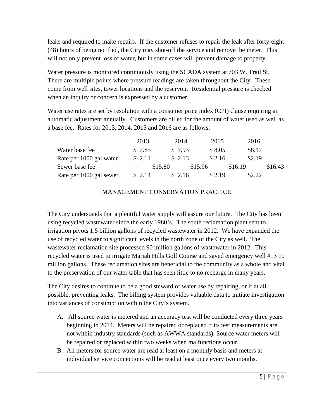leaks and required to make repairs. If the customer refuses to repair the leak after forty-eight (48) hours of being notified, the City may shut-off the service and remove the meter. This will not only prevent loss of water, but in some cases will prevent damage to property.

Water pressure is monitored continuously using the SCADA system at 703 W. Trail St. There are multiple points where pressure readings are taken throughout the City. These come from well sites, tower locations and the reservoir. Residential pressure is checked when an inquiry or concern is expressed by a customer.

Water use rates are set by resolution with a consumer price index (CPI) clause requiring an automatic adjustment annually. Customers are billed for the amount of water used as well as a base fee. Rates for 2013, 2014, 2015 and 2016 are as follows:

|                         | 2013   | 2014    | <u>2015</u> | <u>2016</u> |         |
|-------------------------|--------|---------|-------------|-------------|---------|
| Water base fee          | \$7.85 | \$7.93  | \$8.05      | \$8.17      |         |
| Rate per 1000 gal water | \$2.11 | \$2.13  | \$2.16      | \$2.19      |         |
| Sewer base fee          |        | \$15.80 | \$15.96     | \$16.19     | \$16.43 |
| Rate per 1000 gal sewer | \$2.14 | \$2.16  | \$ 2.19     | \$2.22      |         |

# MANAGEMENT CONSERVATION PRACTICE

The City understands that a plentiful water supply will assure our future. The City has been using recycled wastewater since the early 1980's. The south reclamation plant sent to irrigation pivots 1.5 billion gallons of recycled wastewater in 2012. We have expanded the use of recycled water to significant levels in the north zone of the City as well. The wastewater reclamation site processed 90 million gallons of wastewater in 2012. This recycled water is used to irrigate Mariah Hills Golf Course and saved emergency well #13 19 million gallons. These reclamation sites are beneficial to the community as a whole and vital to the preservation of our water table that has seen little to no recharge in many years.

The City desires to continue to be a good steward of water use by repairing, or if at all possible, preventing leaks. The billing system provides valuable data to initiate investigation into variances of consumption within the City's system.

- A. All source water is metered and an accuracy test will be conducted every three years beginning in 2014. Meters will be repaired or replaced if its test measurements are not within industry standards (such as AWWA standards). Source water meters will be repaired or replaced within two weeks when malfunctions occur.
- B. All meters for source water are read at least on a monthly basis and meters at individual service connections will be read at least once every two months.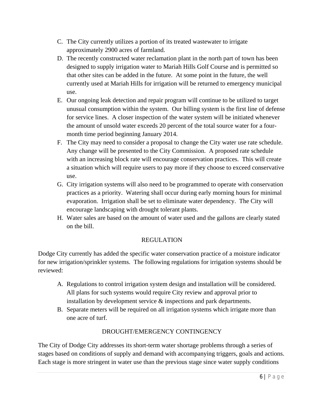- C. The City currently utilizes a portion of its treated wastewater to irrigate approximately 2900 acres of farmland.
- D. The recently constructed water reclamation plant in the north part of town has been designed to supply irrigation water to Mariah Hills Golf Course and is permitted so that other sites can be added in the future. At some point in the future, the well currently used at Mariah Hills for irrigation will be returned to emergency municipal use.
- E. Our ongoing leak detection and repair program will continue to be utilized to target unusual consumption within the system. Our billing system is the first line of defense for service lines. A closer inspection of the water system will be initiated whenever the amount of unsold water exceeds 20 percent of the total source water for a fourmonth time period beginning January 2014.
- F. The City may need to consider a proposal to change the City water use rate schedule. Any change will be presented to the City Commission. A proposed rate schedule with an increasing block rate will encourage conservation practices. This will create a situation which will require users to pay more if they choose to exceed conservative use.
- G. City irrigation systems will also need to be programmed to operate with conservation practices as a priority. Watering shall occur during early morning hours for minimal evaporation. Irrigation shall be set to eliminate water dependency. The City will encourage landscaping with drought tolerant plants.
- H. Water sales are based on the amount of water used and the gallons are clearly stated on the bill.

# REGULATION

Dodge City currently has added the specific water conservation practice of a moisture indicator for new irrigation/sprinkler systems. The following regulations for irrigation systems should be reviewed:

- A. Regulations to control irrigation system design and installation will be considered. All plans for such systems would require City review and approval prior to installation by development service & inspections and park departments.
- B. Separate meters will be required on all irrigation systems which irrigate more than one acre of turf.

# DROUGHT/EMERGENCY CONTINGENCY

The City of Dodge City addresses its short-term water shortage problems through a series of stages based on conditions of supply and demand with accompanying triggers, goals and actions. Each stage is more stringent in water use than the previous stage since water supply conditions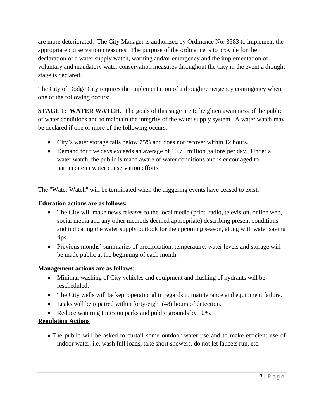are more deteriorated. The City Manager is authorized by Ordinance No. 3583 to implement the appropriate conservation measures. The purpose of the ordinance is to provide for the declaration of a water supply watch, warning and/or emergency and the implementation of voluntary and mandatory water conservation measures throughout the City in the event a drought stage is declared.

The City of Dodge City requires the implementation of a drought/emergency contingency when one of the following occurs:

**STAGE 1: WATER WATCH.** The goals of this stage are to heighten awareness of the public of water conditions and to maintain the integrity of the water supply system. A water watch may be declared if one or more of the following occurs:

- City's water storage falls below 75% and does not recover within 12 hours.
- Demand for five days exceeds an average of 10.75 million gallons per day. Under a water watch, the public is made aware of water conditions and is encouraged to participate in water conservation efforts.

The "Water Watch" will be terminated when the triggering events have ceased to exist.

#### **Education actions are as follows:**

- The City will make news releases to the local media (print, radio, television, online web, social media and any other methods deemed appropriate) describing present conditions and indicating the water supply outlook for the upcoming season, along with water saving tips.
- Previous months' summaries of precipitation, temperature, water levels and storage will be made public at the beginning of each month.

#### **Management actions are as follows:**

- Minimal washing of City vehicles and equipment and flushing of hydrants will be rescheduled.
- The City wells will be kept operational in regards to maintenance and equipment failure.
- Leaks will be repaired within forty-eight (48) hours of detection.
- Reduce watering times on parks and public grounds by 10%.

# **Regulation Actions**

 The public will be asked to curtail some outdoor water use and to make efficient use of indoor water, i.e. wash full loads, take short showers, do not let faucets run, etc.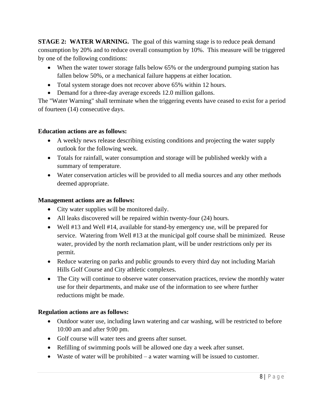**STAGE 2: WATER WARNING.** The goal of this warning stage is to reduce peak demand consumption by 20% and to reduce overall consumption by 10%. This measure will be triggered by one of the following conditions:

- When the water tower storage falls below 65% or the underground pumping station has fallen below 50%, or a mechanical failure happens at either location.
- Total system storage does not recover above 65% within 12 hours.
- Demand for a three-day average exceeds 12.0 million gallons.

The "Water Warning" shall terminate when the triggering events have ceased to exist for a period of fourteen (14) consecutive days.

#### **Education actions are as follows:**

- A weekly news release describing existing conditions and projecting the water supply outlook for the following week.
- Totals for rainfall, water consumption and storage will be published weekly with a summary of temperature.
- Water conservation articles will be provided to all media sources and any other methods deemed appropriate.

#### **Management actions are as follows:**

- City water supplies will be monitored daily.
- All leaks discovered will be repaired within twenty-four (24) hours.
- Well #13 and Well #14, available for stand-by emergency use, will be prepared for service. Watering from Well #13 at the municipal golf course shall be minimized. Reuse water, provided by the north reclamation plant, will be under restrictions only per its permit.
- Reduce watering on parks and public grounds to every third day not including Mariah Hills Golf Course and City athletic complexes.
- The City will continue to observe water conservation practices, review the monthly water use for their departments, and make use of the information to see where further reductions might be made.

# **Regulation actions are as follows:**

- Outdoor water use, including lawn watering and car washing, will be restricted to before 10:00 am and after 9:00 pm.
- Golf course will water tees and greens after sunset.
- Refilling of swimming pools will be allowed one day a week after sunset.
- Waste of water will be prohibited a water warning will be issued to customer.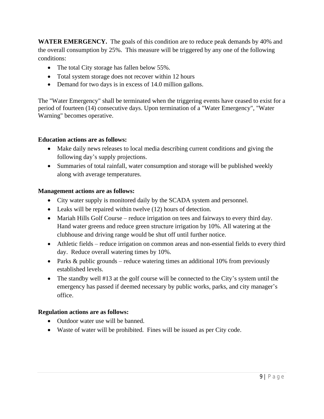**WATER EMERGENCY.** The goals of this condition are to reduce peak demands by 40% and the overall consumption by 25%. This measure will be triggered by any one of the following conditions:

- The total City storage has fallen below 55%.
- Total system storage does not recover within 12 hours
- Demand for two days is in excess of 14.0 million gallons.

The "Water Emergency" shall be terminated when the triggering events have ceased to exist for a period of fourteen (14) consecutive days. Upon termination of a "Water Emergency", "Water Warning" becomes operative.

# **Education actions are as follows:**

- Make daily news releases to local media describing current conditions and giving the following day's supply projections.
- Summaries of total rainfall, water consumption and storage will be published weekly along with average temperatures.

#### **Management actions are as follows:**

- City water supply is monitored daily by the SCADA system and personnel.
- Leaks will be repaired within twelve (12) hours of detection.
- Mariah Hills Golf Course reduce irrigation on tees and fairways to every third day. Hand water greens and reduce green structure irrigation by 10%. All watering at the clubhouse and driving range would be shut off until further notice.
- Athletic fields reduce irrigation on common areas and non-essential fields to every third day. Reduce overall watering times by 10%.
- Parks  $&$  public grounds reduce watering times an additional 10% from previously established levels.
- The standby well #13 at the golf course will be connected to the City's system until the emergency has passed if deemed necessary by public works, parks, and city manager's office.

# **Regulation actions are as follows:**

- Outdoor water use will be banned.
- Waste of water will be prohibited. Fines will be issued as per City code.